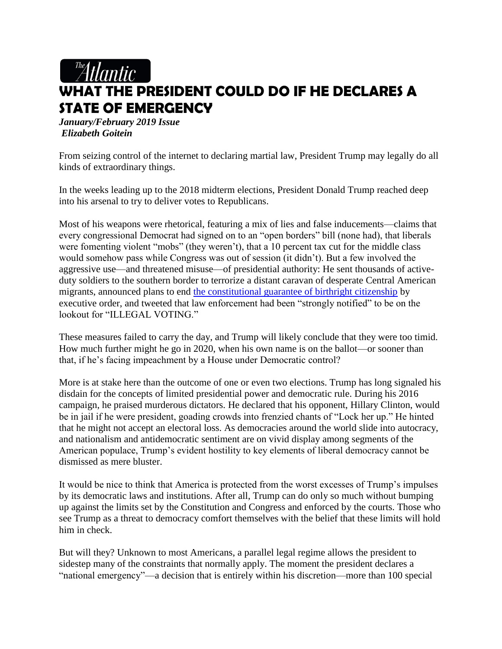## $\mathbb{Z}$ tlantic **WHAT THE PRESIDENT COULD DO IF HE DECLARES A STATE OF EMERGENCY**

*[January/February 2019 Issue](https://www.theatlantic.com/magazine/toc/2019/01/) Elizabeth Goitein*

From seizing control of the internet to declaring martial law, President Trump may legally do all kinds of extraordinary things.

In the weeks leading up to the 2018 midterm elections, President Donald Trump reached deep into his arsenal to try to deliver votes to Republicans.

Most of his weapons were rhetorical, featuring a mix of lies and false inducements—claims that every congressional Democrat had signed on to an "open borders" bill (none had), that liberals were fomenting violent "mobs" (they weren't), that a 10 percent tax cut for the middle class would somehow pass while Congress was out of session (it didn't). But a few involved the aggressive use—and threatened misuse—of presidential authority: He sent thousands of activeduty soldiers to the southern border to terrorize a distant caravan of desperate Central American migrants, announced plans to end [the constitutional guarantee of birthright citizenship](https://www.theatlantic.com/video/index/575062/us-citizenship/) by executive order, and tweeted that law enforcement had been "strongly notified" to be on the lookout for "ILLEGAL VOTING."

These measures failed to carry the day, and Trump will likely conclude that they were too timid. How much further might he go in 2020, when his own name is on the ballot—or sooner than that, if he's facing impeachment by a House under Democratic control?

More is at stake here than the outcome of one or even two elections. Trump has long signaled his disdain for the concepts of limited presidential power and democratic rule. During his 2016 campaign, he praised murderous dictators. He declared that his opponent, Hillary Clinton, would be in jail if he were president, goading crowds into frenzied chants of "Lock her up." He hinted that he might not accept an electoral loss. As democracies around the world slide into autocracy, and nationalism and antidemocratic sentiment are on vivid display among segments of the American populace, Trump's evident hostility to key elements of liberal democracy cannot be dismissed as mere bluster.

It would be nice to think that America is protected from the worst excesses of Trump's impulses by its democratic laws and institutions. After all, Trump can do only so much without bumping up against the limits set by the Constitution and Congress and enforced by the courts. Those who see Trump as a threat to democracy comfort themselves with the belief that these limits will hold him in check.

But will they? Unknown to most Americans, a parallel legal regime allows the president to sidestep many of the constraints that normally apply. The moment the president declares a "national emergency"—a decision that is entirely within his discretion—more than 100 special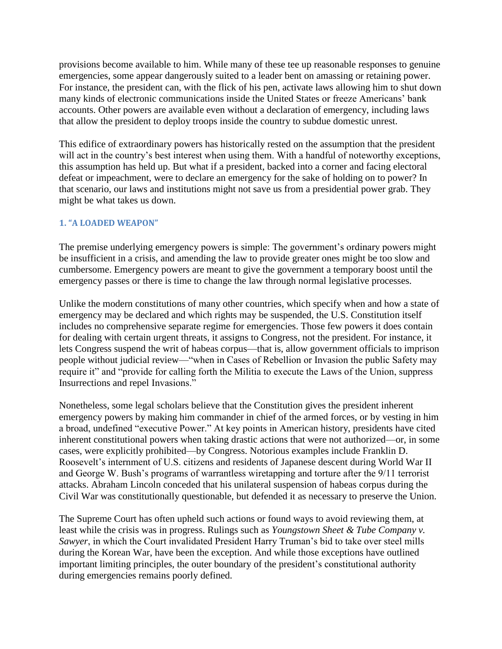provisions become available to him. While many of these tee up reasonable responses to genuine emergencies, some appear dangerously suited to a leader bent on amassing or retaining power. For instance, the president can, with the flick of his pen, activate laws allowing him to shut down many kinds of electronic communications inside the United States or freeze Americans' bank accounts. Other powers are available even without a declaration of emergency, including laws that allow the president to deploy troops inside the country to subdue domestic unrest.

This edifice of extraordinary powers has historically rested on the assumption that the president will act in the country's best interest when using them. With a handful of noteworthy exceptions, this assumption has held up. But what if a president, backed into a corner and facing electoral defeat or impeachment, were to declare an emergency for the sake of holding on to power? In that scenario, our laws and institutions might not save us from a presidential power grab. They might be what takes us down.

## **1. "A LOADED WEAPON"**

The premise underlying emergency powers is simple: The government's ordinary powers might be insufficient in a crisis, and amending the law to provide greater ones might be too slow and cumbersome. Emergency powers are meant to give the government a temporary boost until the emergency passes or there is time to change the law through normal legislative processes.

Unlike the modern constitutions of many other countries, which specify when and how a state of emergency may be declared and which rights may be suspended, the U.S. Constitution itself includes no comprehensive separate regime for emergencies. Those few powers it does contain for dealing with certain urgent threats, it assigns to Congress, not the president. For instance, it lets Congress suspend the writ of habeas corpus—that is, allow government officials to imprison people without judicial review—"when in Cases of Rebellion or Invasion the public Safety may require it" and "provide for calling forth the Militia to execute the Laws of the Union, suppress Insurrections and repel Invasions."

Nonetheless, some legal scholars believe that the Constitution gives the president inherent emergency powers by making him commander in chief of the armed forces, or by vesting in him a broad, undefined "executive Power." At key points in American history, presidents have cited inherent constitutional powers when taking drastic actions that were not authorized—or, in some cases, were explicitly prohibited—by Congress. Notorious examples include Franklin D. Roosevelt's internment of U.S. citizens and residents of Japanese descent during World War II and George W. Bush's programs of warrantless wiretapping and torture after the 9/11 terrorist attacks. Abraham Lincoln conceded that his unilateral suspension of habeas corpus during the Civil War was constitutionally questionable, but defended it as necessary to preserve the Union.

The Supreme Court has often upheld such actions or found ways to avoid reviewing them, at least while the crisis was in progress. Rulings such as *Youngstown Sheet & Tube Company v. Sawyer*, in which the Court invalidated President Harry Truman's bid to take over steel mills during the Korean War, have been the exception. And while those exceptions have outlined important limiting principles, the outer boundary of the president's constitutional authority during emergencies remains poorly defined.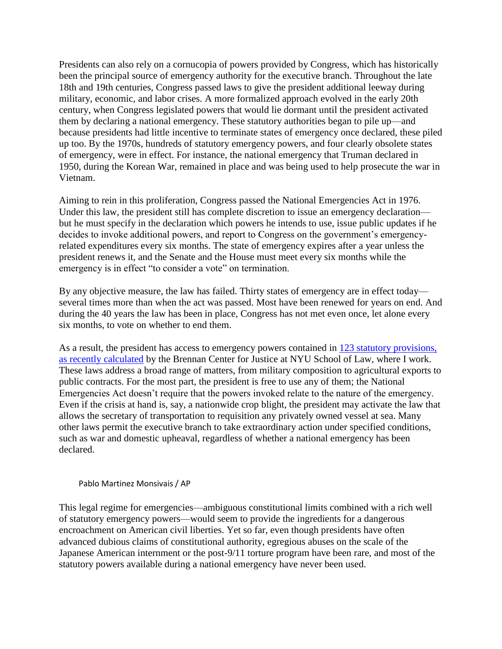Presidents can also rely on a cornucopia of powers provided by Congress, which has historically been the principal source of emergency authority for the executive branch. Throughout the late 18th and 19th centuries, Congress passed laws to give the president additional leeway during military, economic, and labor crises. A more formalized approach evolved in the early 20th century, when Congress legislated powers that would lie dormant until the president activated them by declaring a national emergency. These statutory authorities began to pile up—and because presidents had little incentive to terminate states of emergency once declared, these piled up too. By the 1970s, hundreds of statutory emergency powers, and four clearly obsolete states of emergency, were in effect. For instance, the national emergency that Truman declared in 1950, during the Korean War, remained in place and was being used to help prosecute the war in Vietnam.

Aiming to rein in this proliferation, Congress passed the National Emergencies Act in 1976. Under this law, the president still has complete discretion to issue an emergency declaration but he must specify in the declaration which powers he intends to use, issue public updates if he decides to invoke additional powers, and report to Congress on the government's emergencyrelated expenditures every six months. The state of emergency expires after a year unless the president renews it, and the Senate and the House must meet every six months while the emergency is in effect "to consider a vote" on termination.

By any objective measure, the law has failed. Thirty states of emergency are in effect today several times more than when the act was passed. Most have been renewed for years on end. And during the 40 years the law has been in place, Congress has not met even once, let alone every six months, to vote on whether to end them.

As a result, the president has access to emergency powers contained in 123 statutory provisions, [as recently calculated](https://www.brennancenter.org/analysis/emergency-powers) by the Brennan Center for Justice at NYU School of Law, where I work. These laws address a broad range of matters, from military composition to agricultural exports to public contracts. For the most part, the president is free to use any of them; the National Emergencies Act doesn't require that the powers invoked relate to the nature of the emergency. Even if the crisis at hand is, say, a nationwide crop blight, the president may activate the law that allows the secretary of transportation to requisition any privately owned vessel at sea. Many other laws permit the executive branch to take extraordinary action under specified conditions, such as war and domestic upheaval, regardless of whether a national emergency has been declared.

Pablo Martinez Monsivais / AP

This legal regime for emergencies—ambiguous constitutional limits combined with a rich well of statutory emergency powers—would seem to provide the ingredients for a dangerous encroachment on American civil liberties. Yet so far, even though presidents have often advanced dubious claims of constitutional authority, egregious abuses on the scale of the Japanese American internment or the post-9/11 torture program have been rare, and most of the statutory powers available during a national emergency have never been used.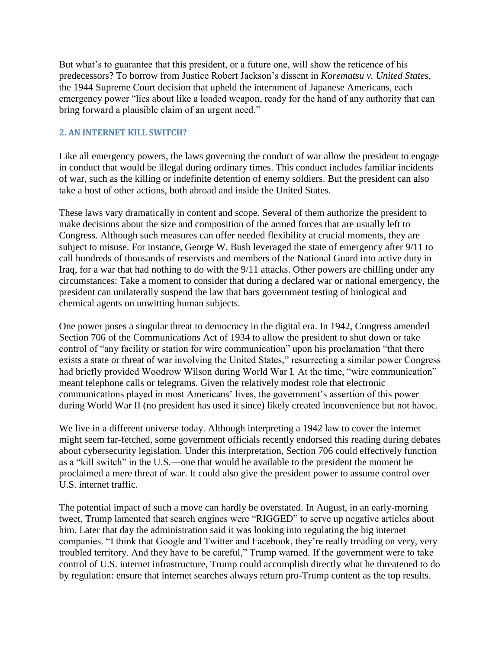But what's to guarantee that this president, or a future one, will show the reticence of his predecessors? To borrow from Justice Robert Jackson's dissent in *Korematsu v. United States*, the 1944 Supreme Court decision that upheld the internment of Japanese Americans, each emergency power "lies about like a loaded weapon, ready for the hand of any authority that can bring forward a plausible claim of an urgent need."

## **2. AN INTERNET KILL SWITCH?**

Like all emergency powers, the laws governing the conduct of war allow the president to engage in conduct that would be illegal during ordinary times. This conduct includes familiar incidents of war, such as the killing or indefinite detention of enemy soldiers. But the president can also take a host of other actions, both abroad and inside the United States.

These laws vary dramatically in content and scope. Several of them authorize the president to make decisions about the size and composition of the armed forces that are usually left to Congress. Although such measures can offer needed flexibility at crucial moments, they are subject to misuse. For instance, George W. Bush leveraged the state of emergency after 9/11 to call hundreds of thousands of reservists and members of the National Guard into active duty in Iraq, for a war that had nothing to do with the 9/11 attacks. Other powers are chilling under any circumstances: Take a moment to consider that during a declared war or national emergency, the president can unilaterally suspend the law that bars government testing of biological and chemical agents on unwitting human subjects.

One power poses a singular threat to democracy in the digital era. In 1942, Congress amended Section 706 of the Communications Act of 1934 to allow the president to shut down or take control of "any facility or station for wire communication" upon his proclamation "that there exists a state or threat of war involving the United States," resurrecting a similar power Congress had briefly provided Woodrow Wilson during World War I. At the time, "wire communication" meant telephone calls or telegrams. Given the relatively modest role that electronic communications played in most Americans' lives, the government's assertion of this power during World War II (no president has used it since) likely created inconvenience but not havoc.

We live in a different universe today. Although interpreting a 1942 law to cover the internet might seem far-fetched, some government officials recently endorsed this reading during debates about cybersecurity legislation. Under this interpretation, Section 706 could effectively function as a "kill switch" in the U.S.—one that would be available to the president the moment he proclaimed a mere threat of war. It could also give the president power to assume control over U.S. internet traffic.

The potential impact of such a move can hardly be overstated. In August, in an early-morning tweet, Trump lamented that search engines were "RIGGED" to serve up negative articles about him. Later that day the administration said it was looking into regulating the big internet companies. "I think that Google and Twitter and Facebook, they're really treading on very, very troubled territory. And they have to be careful," Trump warned. If the government were to take control of U.S. internet infrastructure, Trump could accomplish directly what he threatened to do by regulation: ensure that internet searches always return pro-Trump content as the top results.